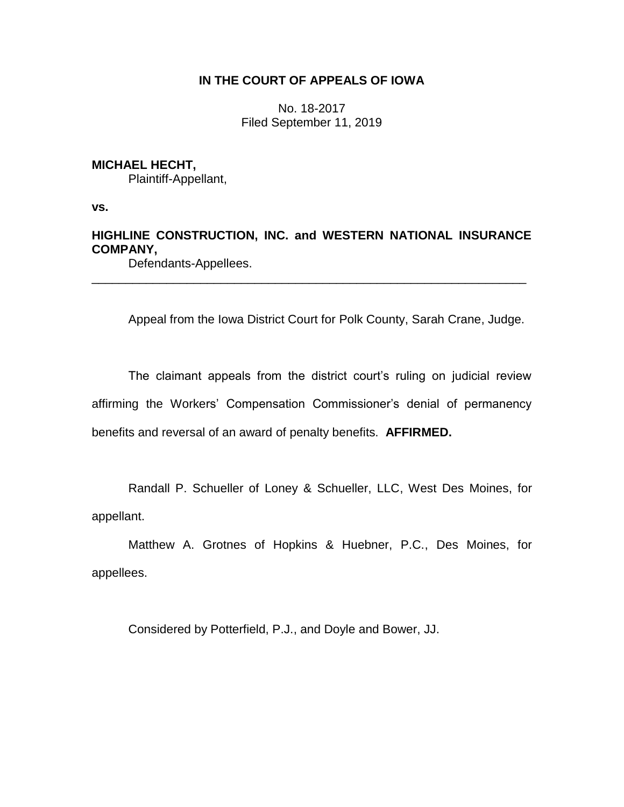# **IN THE COURT OF APPEALS OF IOWA**

No. 18-2017 Filed September 11, 2019

# **MICHAEL HECHT,**

Plaintiff-Appellant,

**vs.**

# **HIGHLINE CONSTRUCTION, INC. and WESTERN NATIONAL INSURANCE COMPANY,**

\_\_\_\_\_\_\_\_\_\_\_\_\_\_\_\_\_\_\_\_\_\_\_\_\_\_\_\_\_\_\_\_\_\_\_\_\_\_\_\_\_\_\_\_\_\_\_\_\_\_\_\_\_\_\_\_\_\_\_\_\_\_\_\_

Defendants-Appellees.

Appeal from the Iowa District Court for Polk County, Sarah Crane, Judge.

The claimant appeals from the district court's ruling on judicial review affirming the Workers' Compensation Commissioner's denial of permanency benefits and reversal of an award of penalty benefits. **AFFIRMED.**

Randall P. Schueller of Loney & Schueller, LLC, West Des Moines, for appellant.

Matthew A. Grotnes of Hopkins & Huebner, P.C., Des Moines, for appellees.

Considered by Potterfield, P.J., and Doyle and Bower, JJ.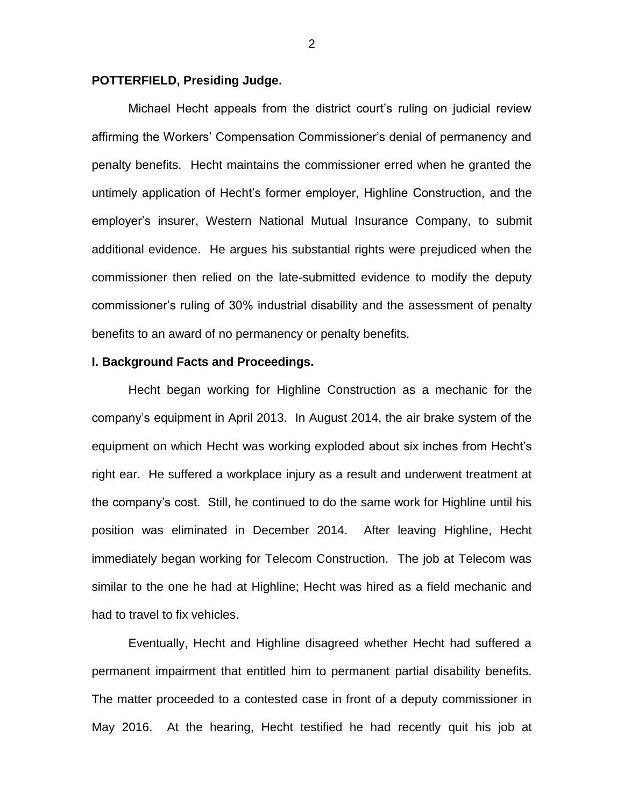## **POTTERFIELD, Presiding Judge.**

Michael Hecht appeals from the district court's ruling on judicial review affirming the Workers' Compensation Commissioner's denial of permanency and penalty benefits. Hecht maintains the commissioner erred when he granted the untimely application of Hecht's former employer, Highline Construction, and the employer's insurer, Western National Mutual Insurance Company, to submit additional evidence. He argues his substantial rights were prejudiced when the commissioner then relied on the late-submitted evidence to modify the deputy commissioner's ruling of 30% industrial disability and the assessment of penalty benefits to an award of no permanency or penalty benefits.

#### **I. Background Facts and Proceedings.**

Hecht began working for Highline Construction as a mechanic for the company's equipment in April 2013. In August 2014, the air brake system of the equipment on which Hecht was working exploded about six inches from Hecht's right ear. He suffered a workplace injury as a result and underwent treatment at the company's cost. Still, he continued to do the same work for Highline until his position was eliminated in December 2014. After leaving Highline, Hecht immediately began working for Telecom Construction. The job at Telecom was similar to the one he had at Highline; Hecht was hired as a field mechanic and had to travel to fix vehicles.

Eventually, Hecht and Highline disagreed whether Hecht had suffered a permanent impairment that entitled him to permanent partial disability benefits. The matter proceeded to a contested case in front of a deputy commissioner in May 2016. At the hearing, Hecht testified he had recently quit his job at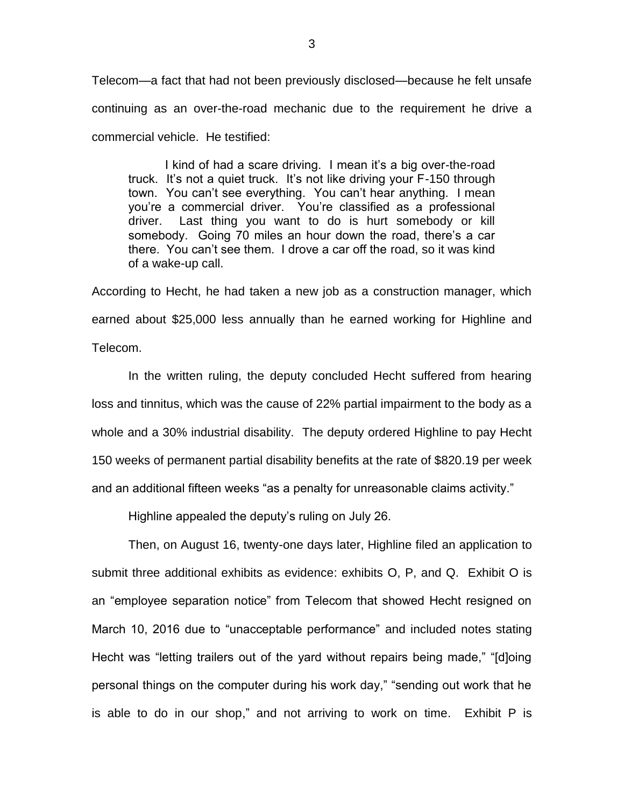Telecom—a fact that had not been previously disclosed—because he felt unsafe continuing as an over-the-road mechanic due to the requirement he drive a commercial vehicle. He testified:

I kind of had a scare driving. I mean it's a big over-the-road truck. It's not a quiet truck. It's not like driving your F-150 through town. You can't see everything. You can't hear anything. I mean you're a commercial driver. You're classified as a professional driver. Last thing you want to do is hurt somebody or kill somebody. Going 70 miles an hour down the road, there's a car there. You can't see them. I drove a car off the road, so it was kind of a wake-up call.

According to Hecht, he had taken a new job as a construction manager, which earned about \$25,000 less annually than he earned working for Highline and Telecom.

In the written ruling, the deputy concluded Hecht suffered from hearing loss and tinnitus, which was the cause of 22% partial impairment to the body as a whole and a 30% industrial disability. The deputy ordered Highline to pay Hecht 150 weeks of permanent partial disability benefits at the rate of \$820.19 per week and an additional fifteen weeks "as a penalty for unreasonable claims activity."

Highline appealed the deputy's ruling on July 26.

Then, on August 16, twenty-one days later, Highline filed an application to submit three additional exhibits as evidence: exhibits O, P, and Q. Exhibit O is an "employee separation notice" from Telecom that showed Hecht resigned on March 10, 2016 due to "unacceptable performance" and included notes stating Hecht was "letting trailers out of the yard without repairs being made," "[d]oing personal things on the computer during his work day," "sending out work that he is able to do in our shop," and not arriving to work on time. Exhibit P is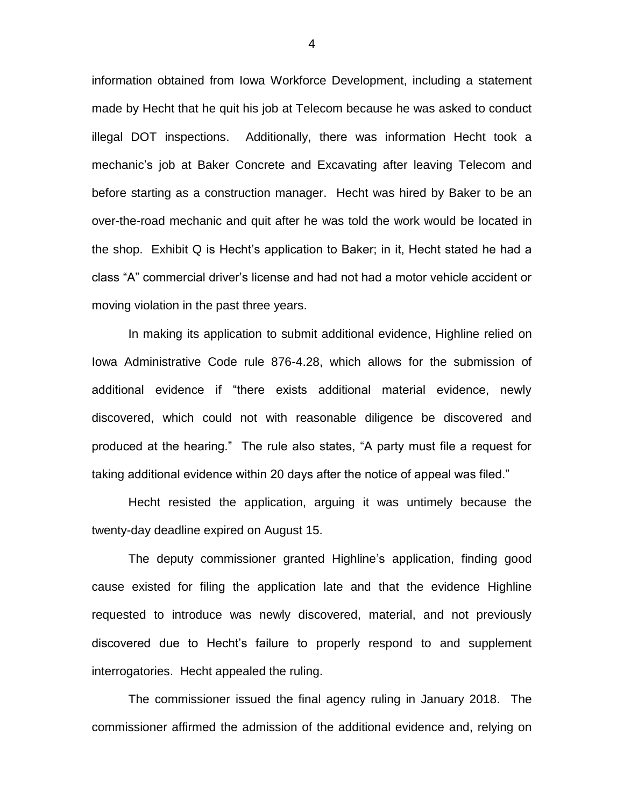information obtained from Iowa Workforce Development, including a statement made by Hecht that he quit his job at Telecom because he was asked to conduct illegal DOT inspections. Additionally, there was information Hecht took a mechanic's job at Baker Concrete and Excavating after leaving Telecom and before starting as a construction manager. Hecht was hired by Baker to be an over-the-road mechanic and quit after he was told the work would be located in the shop. Exhibit Q is Hecht's application to Baker; in it, Hecht stated he had a class "A" commercial driver's license and had not had a motor vehicle accident or moving violation in the past three years.

In making its application to submit additional evidence, Highline relied on Iowa Administrative Code rule 876-4.28, which allows for the submission of additional evidence if "there exists additional material evidence, newly discovered, which could not with reasonable diligence be discovered and produced at the hearing." The rule also states, "A party must file a request for taking additional evidence within 20 days after the notice of appeal was filed."

Hecht resisted the application, arguing it was untimely because the twenty-day deadline expired on August 15.

The deputy commissioner granted Highline's application, finding good cause existed for filing the application late and that the evidence Highline requested to introduce was newly discovered, material, and not previously discovered due to Hecht's failure to properly respond to and supplement interrogatories. Hecht appealed the ruling.

The commissioner issued the final agency ruling in January 2018. The commissioner affirmed the admission of the additional evidence and, relying on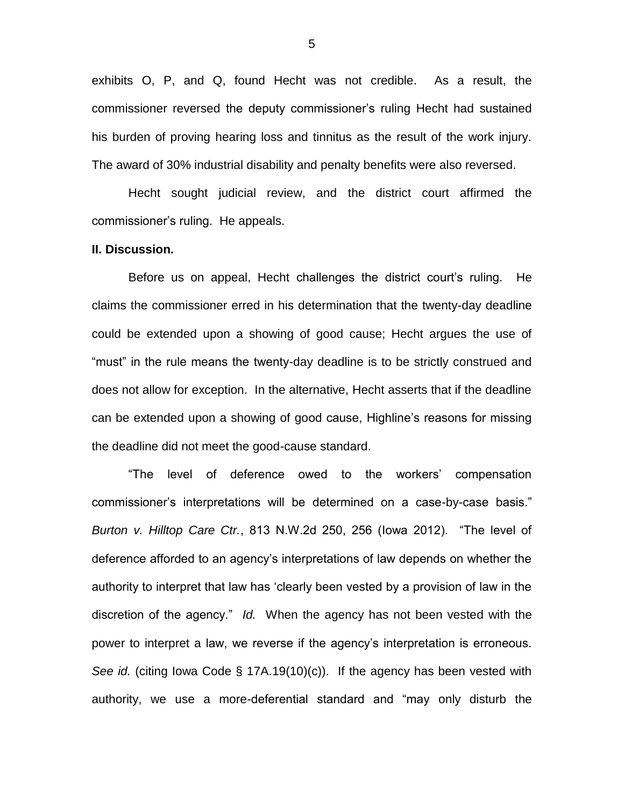exhibits O, P, and Q, found Hecht was not credible. As a result, the commissioner reversed the deputy commissioner's ruling Hecht had sustained his burden of proving hearing loss and tinnitus as the result of the work injury. The award of 30% industrial disability and penalty benefits were also reversed.

Hecht sought judicial review, and the district court affirmed the commissioner's ruling. He appeals.

## **II. Discussion.**

Before us on appeal, Hecht challenges the district court's ruling. He claims the commissioner erred in his determination that the twenty-day deadline could be extended upon a showing of good cause; Hecht argues the use of "must" in the rule means the twenty-day deadline is to be strictly construed and does not allow for exception. In the alternative, Hecht asserts that if the deadline can be extended upon a showing of good cause, Highline's reasons for missing the deadline did not meet the good-cause standard.

"The level of deference owed to the workers' compensation commissioner's interpretations will be determined on a case-by-case basis." *Burton v. Hilltop Care Ctr.*, 813 N.W.2d 250, 256 (Iowa 2012). "The level of deference afforded to an agency's interpretations of law depends on whether the authority to interpret that law has 'clearly been vested by a provision of law in the discretion of the agency." *Id.* When the agency has not been vested with the power to interpret a law, we reverse if the agency's interpretation is erroneous. *See id.* (citing Iowa Code § 17A.19(10)(c)). If the agency has been vested with authority, we use a more-deferential standard and "may only disturb the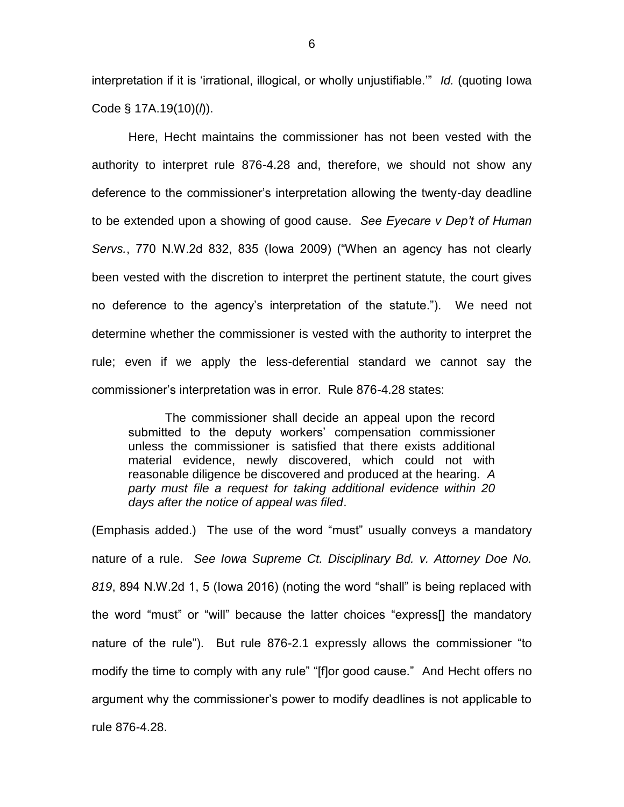interpretation if it is 'irrational, illogical, or wholly unjustifiable.'" *Id.* (quoting Iowa Code § 17A.19(10)(*l*)).

Here, Hecht maintains the commissioner has not been vested with the authority to interpret rule 876-4.28 and, therefore, we should not show any deference to the commissioner's interpretation allowing the twenty-day deadline to be extended upon a showing of good cause. *See Eyecare v Dep't of Human Servs.*, 770 N.W.2d 832, 835 (Iowa 2009) ("When an agency has not clearly been vested with the discretion to interpret the pertinent statute, the court gives no deference to the agency's interpretation of the statute."). We need not determine whether the commissioner is vested with the authority to interpret the rule; even if we apply the less-deferential standard we cannot say the commissioner's interpretation was in error. Rule 876-4.28 states:

The commissioner shall decide an appeal upon the record submitted to the deputy workers' compensation commissioner unless the commissioner is satisfied that there exists additional material evidence, newly discovered, which could not with reasonable diligence be discovered and produced at the hearing. *A party must file a request for taking additional evidence within 20 days after the notice of appeal was filed*.

(Emphasis added.) The use of the word "must" usually conveys a mandatory nature of a rule. *See Iowa Supreme Ct. Disciplinary Bd. v. Attorney Doe No. 819*, 894 N.W.2d 1, 5 (Iowa 2016) (noting the word "shall" is being replaced with the word "must" or "will" because the latter choices "express[] the mandatory nature of the rule"). But rule 876-2.1 expressly allows the commissioner "to modify the time to comply with any rule" "[f]or good cause." And Hecht offers no argument why the commissioner's power to modify deadlines is not applicable to rule 876-4.28.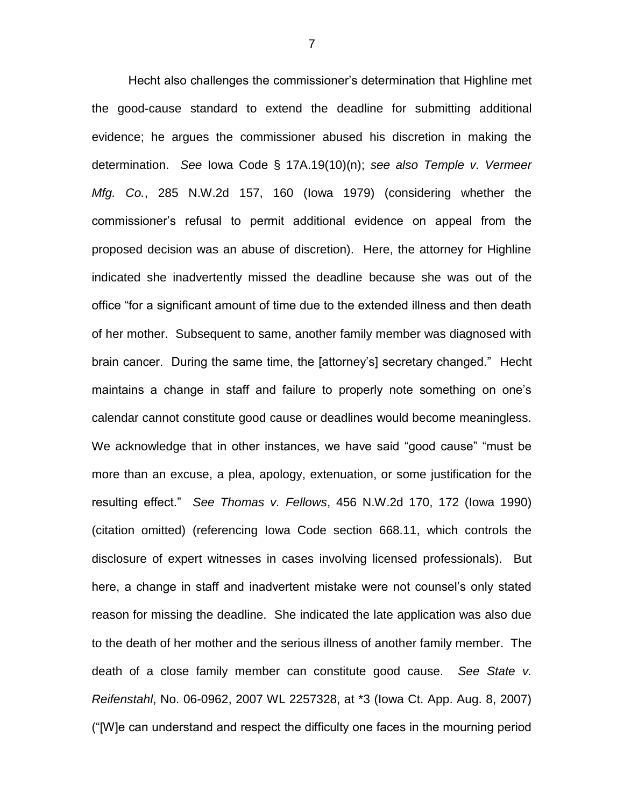Hecht also challenges the commissioner's determination that Highline met the good-cause standard to extend the deadline for submitting additional evidence; he argues the commissioner abused his discretion in making the determination. *See* Iowa Code § 17A.19(10)(n); *see also Temple v. Vermeer Mfg. Co.*, 285 N.W.2d 157, 160 (Iowa 1979) (considering whether the commissioner's refusal to permit additional evidence on appeal from the proposed decision was an abuse of discretion). Here, the attorney for Highline indicated she inadvertently missed the deadline because she was out of the office "for a significant amount of time due to the extended illness and then death of her mother. Subsequent to same, another family member was diagnosed with brain cancer. During the same time, the [attorney's] secretary changed." Hecht maintains a change in staff and failure to properly note something on one's calendar cannot constitute good cause or deadlines would become meaningless. We acknowledge that in other instances, we have said "good cause" "must be more than an excuse, a plea, apology, extenuation, or some justification for the resulting effect." *See Thomas v. Fellows*, 456 N.W.2d 170, 172 (Iowa 1990) (citation omitted) (referencing Iowa Code section 668.11, which controls the disclosure of expert witnesses in cases involving licensed professionals). But here, a change in staff and inadvertent mistake were not counsel's only stated reason for missing the deadline. She indicated the late application was also due to the death of her mother and the serious illness of another family member. The death of a close family member can constitute good cause. *See State v. Reifenstahl*, No. 06-0962, 2007 WL 2257328, at \*3 (Iowa Ct. App. Aug. 8, 2007) ("[W]e can understand and respect the difficulty one faces in the mourning period

7